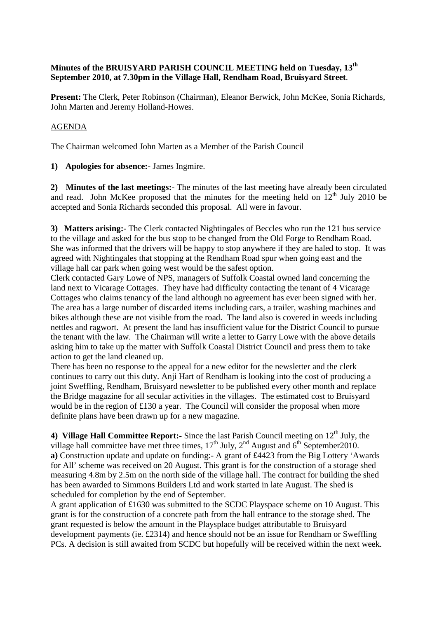## **Minutes of the BRUISYARD PARISH COUNCIL MEETING held on Tuesday, 13th September 2010, at 7.30pm in the Village Hall, Rendham Road, Bruisyard Street**.

**Present:** The Clerk, Peter Robinson (Chairman), Eleanor Berwick, John McKee, Sonia Richards, John Marten and Jeremy Holland-Howes.

## AGENDA

The Chairman welcomed John Marten as a Member of the Parish Council

**1) Apologies for absence:-** James Ingmire.

**2) Minutes of the last meetings:-** The minutes of the last meeting have already been circulated and read. John McKee proposed that the minutes for the meeting held on  $12<sup>th</sup>$  July 2010 be accepted and Sonia Richards seconded this proposal. All were in favour.

**3) Matters arising:-** The Clerk contacted Nightingales of Beccles who run the 121 bus service to the village and asked for the bus stop to be changed from the Old Forge to Rendham Road. She was informed that the drivers will be happy to stop anywhere if they are haled to stop. It was agreed with Nightingales that stopping at the Rendham Road spur when going east and the village hall car park when going west would be the safest option.

Clerk contacted Gary Lowe of NPS, managers of Suffolk Coastal owned land concerning the land next to Vicarage Cottages. They have had difficulty contacting the tenant of 4 Vicarage Cottages who claims tenancy of the land although no agreement has ever been signed with her. The area has a large number of discarded items including cars, a trailer, washing machines and bikes although these are not visible from the road. The land also is covered in weeds including nettles and ragwort. At present the land has insufficient value for the District Council to pursue the tenant with the law. The Chairman will write a letter to Garry Lowe with the above details asking him to take up the matter with Suffolk Coastal District Council and press them to take action to get the land cleaned up.

There has been no response to the appeal for a new editor for the newsletter and the clerk continues to carry out this duty. Anji Hart of Rendham is looking into the cost of producing a joint Sweffling, Rendham, Bruisyard newsletter to be published every other month and replace the Bridge magazine for all secular activities in the villages. The estimated cost to Bruisyard would be in the region of £130 a year. The Council will consider the proposal when more definite plans have been drawn up for a new magazine.

4) **Village Hall Committee Report:-** Since the last Parish Council meeting on 12<sup>th</sup> July, the village hall committee have met three times,  $17<sup>th</sup>$  July,  $2<sup>nd</sup>$  August and  $6<sup>th</sup>$  September2010. **a)** Construction update and update on funding:- A grant of £4423 from the Big Lottery 'Awards for All' scheme was received on 20 August. This grant is for the construction of a storage shed measuring 4.8m by 2.5m on the north side of the village hall. The contract for building the shed has been awarded to Simmons Builders Ltd and work started in late August. The shed is scheduled for completion by the end of September.

A grant application of £1630 was submitted to the SCDC Playspace scheme on 10 August. This grant is for the construction of a concrete path from the hall entrance to the storage shed. The grant requested is below the amount in the Playsplace budget attributable to Bruisyard development payments (ie. £2314) and hence should not be an issue for Rendham or Sweffling PCs. A decision is still awaited from SCDC but hopefully will be received within the next week.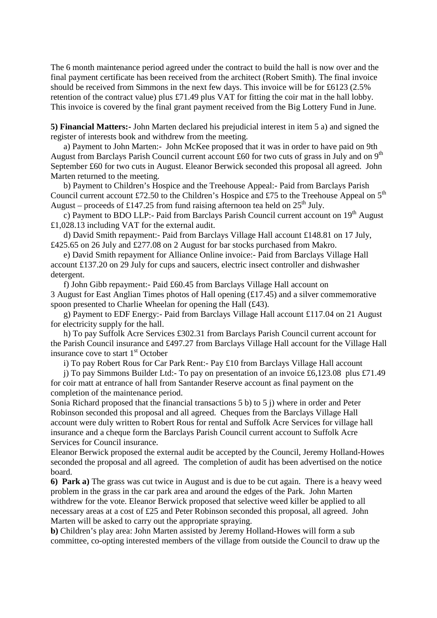The 6 month maintenance period agreed under the contract to build the hall is now over and the final payment certificate has been received from the architect (Robert Smith). The final invoice should be received from Simmons in the next few days. This invoice will be for £6123 (2.5% retention of the contract value) plus £71.49 plus VAT for fitting the coir mat in the hall lobby. This invoice is covered by the final grant payment received from the Big Lottery Fund in June.

**5) Financial Matters:-** John Marten declared his prejudicial interest in item 5 a) and signed the register of interests book and withdrew from the meeting.

 a) Payment to John Marten:- John McKee proposed that it was in order to have paid on 9th August from Barclays Parish Council current account £60 for two cuts of grass in July and on  $9<sup>th</sup>$ September £60 for two cuts in August. Eleanor Berwick seconded this proposal all agreed. John Marten returned to the meeting.

 b) Payment to Children's Hospice and the Treehouse Appeal:- Paid from Barclays Parish Council current account £72.50 to the Children's Hospice and £75 to the Treehouse Appeal on  $5<sup>th</sup>$ August – proceeds of £147.25 from fund raising afternoon tea held on  $25<sup>th</sup>$  July.

c) Payment to BDO LLP:- Paid from Barclays Parish Council current account on  $19<sup>th</sup>$  August £1,028.13 including VAT for the external audit.

 d) David Smith repayment:- Paid from Barclays Village Hall account £148.81 on 17 July, £425.65 on 26 July and £277.08 on 2 August for bar stocks purchased from Makro.

 e) David Smith repayment for Alliance Online invoice:- Paid from Barclays Village Hall account £137.20 on 29 July for cups and saucers, electric insect controller and dishwasher detergent.

 f) John Gibb repayment:- Paid £60.45 from Barclays Village Hall account on 3 August for East Anglian Times photos of Hall opening (£17.45) and a silver commemorative spoon presented to Charlie Wheelan for opening the Hall (£43).

 g) Payment to EDF Energy:- Paid from Barclays Village Hall account £117.04 on 21 August for electricity supply for the hall.

 h) To pay Suffolk Acre Services £302.31 from Barclays Parish Council current account for the Parish Council insurance and £497.27 from Barclays Village Hall account for the Village Hall insurance cove to start  $1<sup>st</sup>$  October

i) To pay Robert Rous for Car Park Rent:- Pay £10 from Barclays Village Hall account

 j) To pay Simmons Builder Ltd:- To pay on presentation of an invoice £6,123.08 plus £71.49 for coir matt at entrance of hall from Santander Reserve account as final payment on the completion of the maintenance period.

Sonia Richard proposed that the financial transactions 5 b) to 5 j) where in order and Peter Robinson seconded this proposal and all agreed. Cheques from the Barclays Village Hall account were duly written to Robert Rous for rental and Suffolk Acre Services for village hall insurance and a cheque form the Barclays Parish Council current account to Suffolk Acre Services for Council insurance.

Eleanor Berwick proposed the external audit be accepted by the Council, Jeremy Holland-Howes seconded the proposal and all agreed. The completion of audit has been advertised on the notice board.

**6) Park a)** The grass was cut twice in August and is due to be cut again. There is a heavy weed problem in the grass in the car park area and around the edges of the Park. John Marten withdrew for the vote. Eleanor Berwick proposed that selective weed killer be applied to all necessary areas at a cost of £25 and Peter Robinson seconded this proposal, all agreed. John Marten will be asked to carry out the appropriate spraying.

**b)** Children's play area: John Marten assisted by Jeremy Holland-Howes will form a sub committee, co-opting interested members of the village from outside the Council to draw up the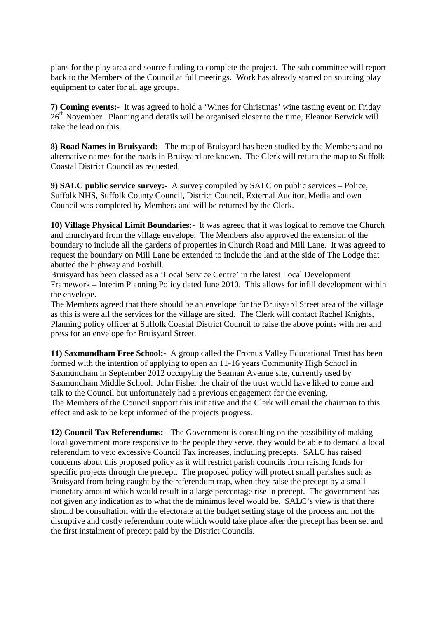plans for the play area and source funding to complete the project. The sub committee will report back to the Members of the Council at full meetings. Work has already started on sourcing play equipment to cater for all age groups.

**7) Coming events:-** It was agreed to hold a 'Wines for Christmas' wine tasting event on Friday 26<sup>th</sup> November. Planning and details will be organised closer to the time, Eleanor Berwick will take the lead on this.

**8) Road Names in Bruisyard:-** The map of Bruisyard has been studied by the Members and no alternative names for the roads in Bruisyard are known. The Clerk will return the map to Suffolk Coastal District Council as requested.

**9) SALC public service survey:-** A survey compiled by SALC on public services – Police, Suffolk NHS, Suffolk County Council, District Council, External Auditor, Media and own Council was completed by Members and will be returned by the Clerk.

**10) Village Physical Limit Boundaries:-** It was agreed that it was logical to remove the Church and churchyard from the village envelope. The Members also approved the extension of the boundary to include all the gardens of properties in Church Road and Mill Lane. It was agreed to request the boundary on Mill Lane be extended to include the land at the side of The Lodge that abutted the highway and Foxhill.

Bruisyard has been classed as a 'Local Service Centre' in the latest Local Development Framework – Interim Planning Policy dated June 2010. This allows for infill development within the envelope.

The Members agreed that there should be an envelope for the Bruisyard Street area of the village as this is were all the services for the village are sited. The Clerk will contact Rachel Knights, Planning policy officer at Suffolk Coastal District Council to raise the above points with her and press for an envelope for Bruisyard Street.

**11) Saxmundham Free School:-** A group called the Fromus Valley Educational Trust has been formed with the intention of applying to open an 11-16 years Community High School in Saxmundham in September 2012 occupying the Seaman Avenue site, currently used by Saxmundham Middle School. John Fisher the chair of the trust would have liked to come and talk to the Council but unfortunately had a previous engagement for the evening. The Members of the Council support this initiative and the Clerk will email the chairman to this effect and ask to be kept informed of the projects progress.

**12) Council Tax Referendums:-** The Government is consulting on the possibility of making local government more responsive to the people they serve, they would be able to demand a local referendum to veto excessive Council Tax increases, including precepts. SALC has raised concerns about this proposed policy as it will restrict parish councils from raising funds for specific projects through the precept. The proposed policy will protect small parishes such as Bruisyard from being caught by the referendum trap, when they raise the precept by a small monetary amount which would result in a large percentage rise in precept. The government has not given any indication as to what the de minimus level would be. SALC's view is that there should be consultation with the electorate at the budget setting stage of the process and not the disruptive and costly referendum route which would take place after the precept has been set and the first instalment of precept paid by the District Councils.